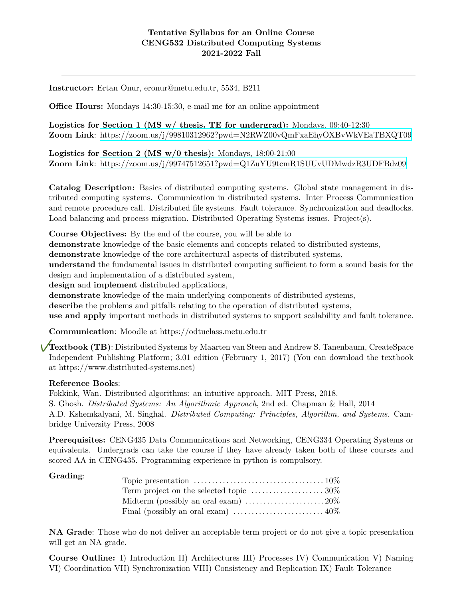## **Tentative Syllabus for an Online Course CENG532 Distributed Computing Systems 2021-2022 Fall**

**Instructor:** Ertan Onur, eronur@metu.edu.tr, 5534, B211

**Office Hours:** Mondays 14:30-15:30, e-mail me for an online appointment

**Logistics for Section 1 (MS w/ thesis, TE for undergrad):** Mondays, 09:40-12:30 **Zoom Link**: <https://zoom.us/j/99810312962?pwd=N2RWZ00vQmFxaEhyOXBvWkVEaTBXQT09>

**Logistics for Section 2 (MS w/0 thesis):** Mondays, 18:00-21:00 **Zoom Link**: <https://zoom.us/j/99747512651?pwd=Q1ZuYU9tcmR1SUUvUDMwdzR3UDFBdz09>

**Catalog Description:** Basics of distributed computing systems. Global state management in distributed computing systems. Communication in distributed systems. Inter Process Communication and remote procedure call. Distributed file systems. Fault tolerance. Synchronization and deadlocks. Load balancing and process migration. Distributed Operating Systems issues. Project(s).

**Course Objectives:** By the end of the course, you will be able to

**demonstrate** knowledge of the basic elements and concepts related to distributed systems,

**demonstrate** knowledge of the core architectural aspects of distributed systems,

**understand** the fundamental issues in distributed computing sufficient to form a sound basis for the design and implementation of a distributed system,

**design** and **implement** distributed applications,

**demonstrate** knowledge of the main underlying components of distributed systems,

**describe** the problems and pitfalls relating to the operation of distributed systems,

**use and apply** important methods in distributed systems to support scalability and fault tolerance.

**Communication**: Moodle at https://odtuclass.metu.edu.tr

**Textbook (TB)**: Distributed Systems by Maarten van Steen and Andrew S. Tanenbaum, CreateSpace Independent Publishing Platform; 3.01 edition (February 1, 2017) (You can download the textbook at https://www.distributed-systems.net)

## **Reference Books**:

Fokkink, Wan. Distributed algorithms: an intuitive approach. MIT Press, 2018. S. Ghosh. *Distributed Systems: An Algorithmic Approach*, 2nd ed. Chapman & Hall, 2014 A.D. Kshemkalyani, M. Singhal. *Distributed Computing: Principles, Algorithm, and Systems*. Cambridge University Press, 2008

**Prerequisites:** CENG435 Data Communications and Networking, CENG334 Operating Systems or equivalents. Undergrads can take the course if they have already taken both of these courses and scored AA in CENG435. Programming experience in python is compulsory.

| Topic presentation $\ldots \ldots \ldots \ldots \ldots \ldots \ldots \ldots \ldots \ldots \ldots 10\%$ |  |
|--------------------------------------------------------------------------------------------------------|--|
| Term project on the selected topic $\dots\dots\dots\dots\dots\dots 30\%$                               |  |
| Midterm (possibly an oral exam) $\dots \dots \dots \dots \dots \dots 20\%$                             |  |
|                                                                                                        |  |

**NA Grade**: Those who do not deliver an acceptable term project or do not give a topic presentation will get an NA grade.

**Course Outline:** I) Introduction II) Architectures III) Processes IV) Communication V) Naming VI) Coordination VII) Synchronization VIII) Consistency and Replication IX) Fault Tolerance